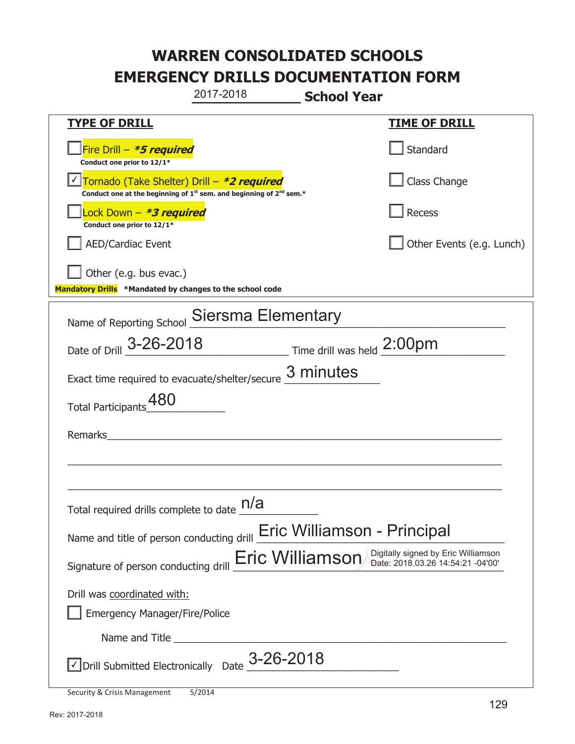**\_\_\_\_\_\_\_\_\_\_\_\_\_ School Year TYPE OF DRILL TIME OF DRILL**  侊Fire Drill – **\*5 required Conduct one prior to 12/1\* Standard** 侊Tornado (Take Shelter) Drill – **\*2 required** ✔ **Conduct one at the beginning of 1<sup>st</sup> sem. and beginning of 2<sup>nd</sup> sem.\*** Class Change 侊Lock Down – **\*3 required Conduct one prior to 12/1\* Recess** AED/Cardiac Event and a set of the set of the set of the United States (e.g. Lunch) Other (e.g. bus evac.) **Mandatory Drills \*Mandated by changes to the school code**  Name of Reporting School Siersma Elementary Date of Drill  $3\n-26\n-2018$  Time drill was held  $2:00 \text{pm}$ Exact time required to evacuate/shelter/secure  $\frac{3 \text{ minutes}}{2}$ Total Participants 480 Remarks  $\_$  , and the set of the set of the set of the set of the set of the set of the set of the set of the set of the set of the set of the set of the set of the set of the set of the set of the set of the set of the set of th \_\_\_\_\_\_\_\_\_\_\_\_\_\_\_\_\_\_\_\_\_\_\_\_\_\_\_\_\_\_\_\_\_\_\_\_\_\_\_\_\_\_\_\_\_\_\_\_\_\_\_\_\_\_\_\_\_\_\_\_\_\_\_\_\_\_\_\_\_\_\_\_\_\_\_\_\_ Total required drills complete to date  $\frac{\mathsf{n}/\mathsf{a}}{\mathsf{a} \cdot \mathsf{a}}$ Name and title of person conducting drill **Eric Williamson - Principal** Signature of person conducting drill  $\overline{\mathsf{Eric~Williamson}}$  Digitally signed by Eric Williamson Drill was coordinated with: ܆ Emergency Manager/Fire/Police Name and Title **Example 20**  $\vee$  Drill Submitted Electronically Date  $3$ -26-2018 2017-2018

Security & Crisis Management 5/2014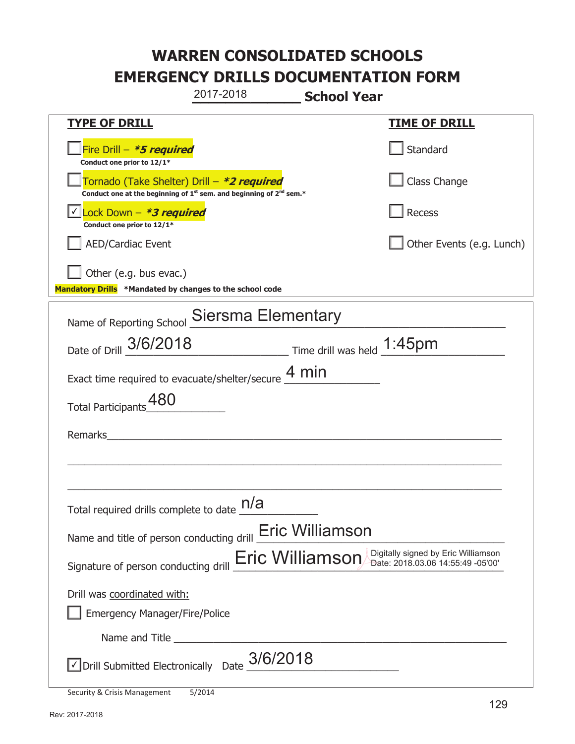**\_\_\_\_\_\_\_\_\_\_\_\_\_ School Year TYPE OF DRILL TIME OF DRILL**  侊Fire Drill – **\*5 required Conduct one prior to 12/1\* Standard** 侊Tornado (Take Shelter) Drill – **\*2 required Conduct one at the beginning of 1<sup>st</sup> sem. and beginning of 2<sup>nd</sup> sem.\*** Class Change 侊Lock Down – **\*3 required** ✔ **Conduct one prior to 12/1\* Recess** AED/Cardiac Event **AED/Cardiac Event Network Network Network Network Network Network Network Network Network Network Network Network Network Network Network Network Network Network Net**  $\Box$  Other (e.g. bus evac.) **Mandatory Drills \*Mandated by changes to the school code**  Name of Reporting School Siersma Elementary Date of Drill  $\frac{3/6/2018}{2}$  Time drill was held  $\frac{1:45pm}{2}$ Exact time required to evacuate/shelter/secure  $\frac{4 \text{ min}}{4 \text{ min}}$ Total Participants 480 Remarks  $\_$  , and the set of the set of the set of the set of the set of the set of the set of the set of the set of the set of the set of the set of the set of the set of the set of the set of the set of the set of the set of th \_\_\_\_\_\_\_\_\_\_\_\_\_\_\_\_\_\_\_\_\_\_\_\_\_\_\_\_\_\_\_\_\_\_\_\_\_\_\_\_\_\_\_\_\_\_\_\_\_\_\_\_\_\_\_\_\_\_\_\_\_\_\_\_\_\_\_\_\_\_\_\_\_\_\_\_\_ Total required drills complete to date  $\frac{\mathsf{n}/\mathsf{a}}{\mathsf{a} \cdot \mathsf{a}}$ Name and title of person conducting drill **Eric Williamson** Signature of person conducting drill  $\overline{\mathsf{Eric~Williamson}}$  Digitally signed by Eric Williamson Drill was coordinated with: ܆ Emergency Manager/Fire/Police Name and Title **Example 20**  $\sqrt{2}$  Drill Submitted Electronically Date  $3/6/2018$ 2017-2018

Security & Crisis Management 5/2014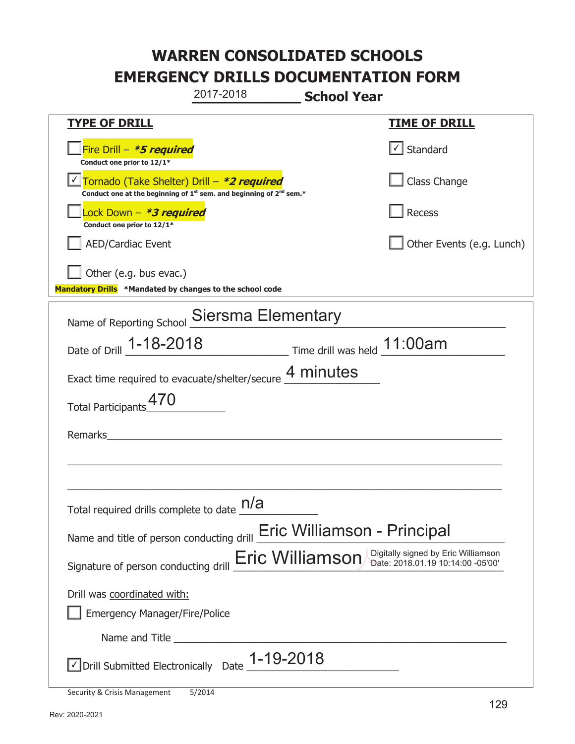**\_\_\_\_\_\_\_\_\_\_\_\_\_ School Year TYPE OF DRILL TIME OF DRILL**  侊Fire Drill – **\*5 required Conduct one prior to 12/1\***   $\boxed{\checkmark}$  Standard 侊Tornado (Take Shelter) Drill – **\*2 required** ✔ **Conduct one at the beginning of 1<sup>st</sup> sem. and beginning of 2<sup>nd</sup> sem.\*** Class Change 侊Lock Down – **\*3 required Conduct one prior to 12/1\* Recess** AED/Cardiac Event **AED/Cardiac Event Network Network Network Network Network Network Network Network Network Network Network Network Network Network Network Network Network Network Net** Other (e.g. bus evac.) **Mandatory Drills \*Mandated by changes to the school code**  Name of Reporting School Siersma Elementary Date of Drill \_\_\_\_\_\_\_\_\_\_\_\_\_\_\_\_\_\_\_\_\_\_\_\_\_\_\_\_\_ Time drill was held \_\_\_\_\_\_\_\_\_\_\_\_\_\_\_\_\_\_\_\_\_\_ 1-18-2018 11:00am Exact time required to evacuate/shelter/secure  $\frac{4 \text{ minutes}}{4}$ Total Participants 470 Remarks  $\_$  , and the set of the set of the set of the set of the set of the set of the set of the set of the set of the set of the set of the set of the set of the set of the set of the set of the set of the set of the set of th \_\_\_\_\_\_\_\_\_\_\_\_\_\_\_\_\_\_\_\_\_\_\_\_\_\_\_\_\_\_\_\_\_\_\_\_\_\_\_\_\_\_\_\_\_\_\_\_\_\_\_\_\_\_\_\_\_\_\_\_\_\_\_\_\_\_\_\_\_\_\_\_\_\_\_\_\_ Total required drills complete to date  $\frac{\mathsf{n}/\mathsf{a}}{\mathsf{a} \cdot \mathsf{a}}$ Name and title of person conducting drill **Eric Williamson - Principal** Signature of person conducting drill  $\overline{\mathsf{Eric~Williamson}}$  Digitally signed by Eric Williamson Drill was coordinated with: ܆ Emergency Manager/Fire/Police Name and Title **Example 20**  $\triangledown$  Drill Submitted Electronically Date  $1-19-2018$ 2017-2018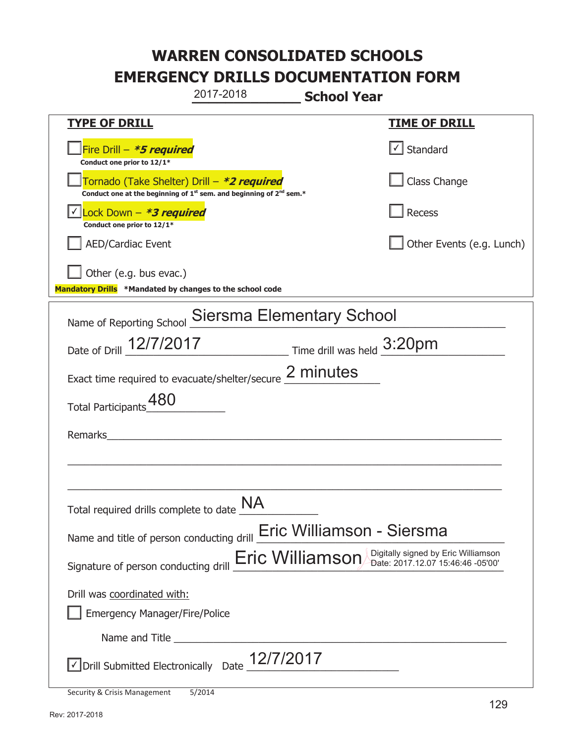**\_\_\_\_\_\_\_\_\_\_\_\_\_ School Year TYPE OF DRILL TIME OF DRILL**  侊Fire Drill – **\*5 required Conduct one prior to 12/1\***   $\boxed{\checkmark}$  Standard 侊Tornado (Take Shelter) Drill – **\*2 required Conduct one at the beginning of 1<sup>st</sup> sem. and beginning of 2<sup>nd</sup> sem.\*** Class Change 侊Lock Down – **\*3 required** ✔ **Conduct one prior to 12/1\* Recess** AED/Cardiac Event **AED/Cardiac Event Network Network Network Network Network Network Network Network Network Network Network Network Network Network Network Network Network Network Net**  $\Box$  Other (e.g. bus evac.) **Mandatory Drills \*Mandated by changes to the school code**  Name of Reporting School Siersma Elementary School Date of Drill  $\frac{12/7/2017}{2}$  Time drill was held  $\frac{3:20 \text{pm}}{2}$ Exact time required to evacuate/shelter/secure  $\frac{2 \text{ minutes}}{2}$ Total Participants 480 Remarks  $\_$  , and the set of the set of the set of the set of the set of the set of the set of the set of the set of the set of the set of the set of the set of the set of the set of the set of the set of the set of the set of th \_\_\_\_\_\_\_\_\_\_\_\_\_\_\_\_\_\_\_\_\_\_\_\_\_\_\_\_\_\_\_\_\_\_\_\_\_\_\_\_\_\_\_\_\_\_\_\_\_\_\_\_\_\_\_\_\_\_\_\_\_\_\_\_\_\_\_\_\_\_\_\_\_\_\_\_\_ Total required drills complete to date  $\underline{\mathsf{NA}}$ Name and title of person conducting drill **Eric Williamson - Siersma** Signature of person conducting drill  $\overline{\mathsf{Eric~Williamson}}$  Digitally signed by Eric Williamson Drill was coordinated with: ܆ Emergency Manager/Fire/Police Name and Title **Example 20**  $\sqrt{2}$  Drill Submitted Electronically Date  $\frac{12/7/2017}{2}$ 2017-2018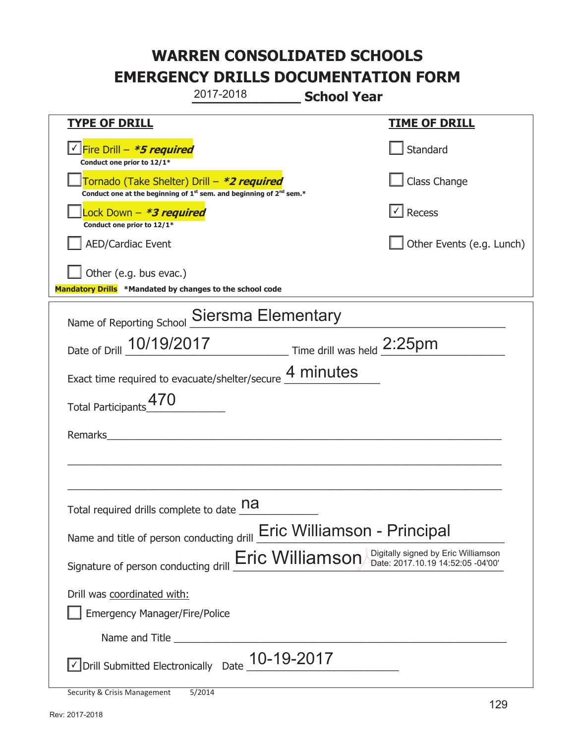**\_\_\_\_\_\_\_\_\_\_\_\_\_ School Year TYPE OF DRILL TIME OF DRILL**  侊Fire Drill – **\*5 required** ✔ **Conduct one prior to 12/1\* Standard** 侊Tornado (Take Shelter) Drill – **\*2 required Conduct one at the beginning of 1<sup>st</sup> sem. and beginning of 2<sup>nd</sup> sem.\*** Class Change 侊Lock Down – **\*3 required Conduct one prior to 12/1\* Recess** AED/Cardiac Event and the contract of the contract of the Contract of Contract of Contract of Contract of Contract of Contract of Contract of Contract of Contract of Contract of Contract of Contract of Contract of Contract Other (e.g. bus evac.) **Mandatory Drills \*Mandated by changes to the school code**  Name of Reporting School Siersma Elementary Date of Drill  $\frac{10/19/2017}{2}$  Time drill was held  $\frac{2:25pm}{2}$ Exact time required to evacuate/shelter/secure  $\frac{4 \text{ minutes}}{4}$ Total Participants 470 Remarks  $\_$  , and the set of the set of the set of the set of the set of the set of the set of the set of the set of the set of the set of the set of the set of the set of the set of the set of the set of the set of the set of th \_\_\_\_\_\_\_\_\_\_\_\_\_\_\_\_\_\_\_\_\_\_\_\_\_\_\_\_\_\_\_\_\_\_\_\_\_\_\_\_\_\_\_\_\_\_\_\_\_\_\_\_\_\_\_\_\_\_\_\_\_\_\_\_\_\_\_\_\_\_\_\_\_\_\_\_\_ Total required drills complete to date **na** Name and title of person conducting drill **Eric Williamson - Principal** Signature of person conducting drill **Eric Williamson** Digitally signed by Eric Williamson Signature of person conducting drill Drill was coordinated with: ܆ Emergency Manager/Fire/Police Name and Title **Example 20**  $\triangledown$  Drill Submitted Electronically Date  $\underline{10-19-2017}$ 2017-2018 ✔

Security & Crisis Management 5/2014